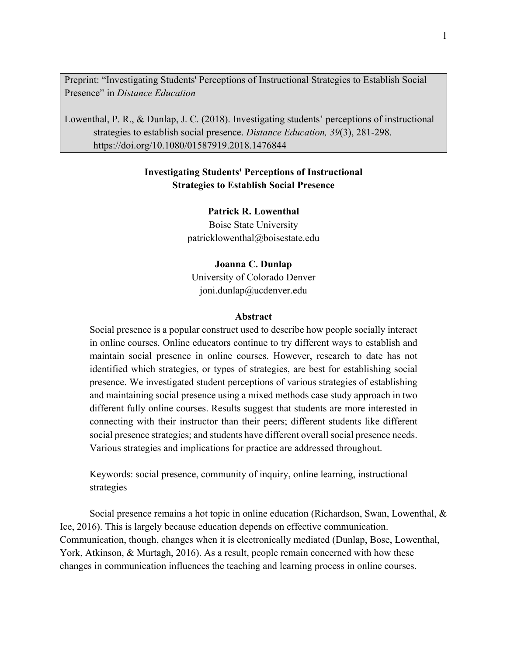Preprint: "Investigating Students' Perceptions of Instructional Strategies to Establish Social Presence" in *Distance Education*

Lowenthal, P. R., & Dunlap, J. C. (2018). Investigating students' perceptions of instructional strategies to establish social presence. *Distance Education, 39*(3), 281-298. https://doi.org/10.1080/01587919.2018.1476844

# **Investigating Students' Perceptions of Instructional Strategies to Establish Social Presence**

### **Patrick R. Lowenthal**

Boise State University patricklowenthal@boisestate.edu

**Joanna C. Dunlap** University of Colorado Denver joni.dunlap@ucdenver.edu

## **Abstract**

Social presence is a popular construct used to describe how people socially interact in online courses. Online educators continue to try different ways to establish and maintain social presence in online courses. However, research to date has not identified which strategies, or types of strategies, are best for establishing social presence. We investigated student perceptions of various strategies of establishing and maintaining social presence using a mixed methods case study approach in two different fully online courses. Results suggest that students are more interested in connecting with their instructor than their peers; different students like different social presence strategies; and students have different overall social presence needs. Various strategies and implications for practice are addressed throughout.

Keywords: social presence, community of inquiry, online learning, instructional strategies

Social presence remains a hot topic in online education (Richardson, Swan, Lowenthal, & Ice, 2016). This is largely because education depends on effective communication. Communication, though, changes when it is electronically mediated (Dunlap, Bose, Lowenthal, York, Atkinson, & Murtagh, 2016). As a result, people remain concerned with how these changes in communication influences the teaching and learning process in online courses.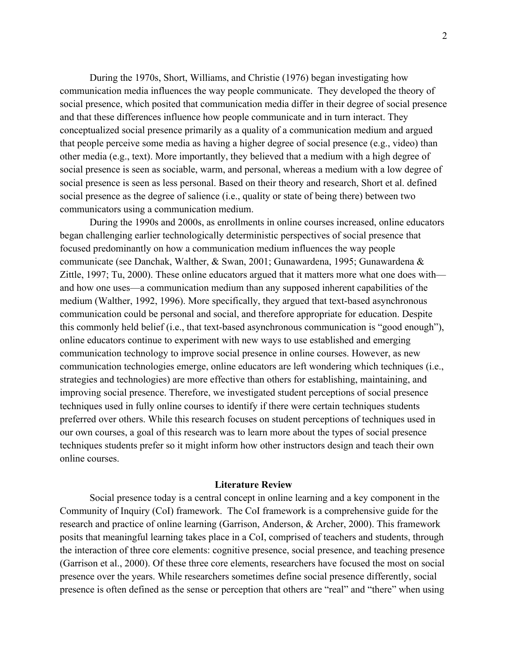During the 1970s, Short, Williams, and Christie (1976) began investigating how communication media influences the way people communicate. They developed the theory of social presence, which posited that communication media differ in their degree of social presence and that these differences influence how people communicate and in turn interact. They conceptualized social presence primarily as a quality of a communication medium and argued that people perceive some media as having a higher degree of social presence (e.g., video) than other media (e.g., text). More importantly, they believed that a medium with a high degree of social presence is seen as sociable, warm, and personal, whereas a medium with a low degree of social presence is seen as less personal. Based on their theory and research, Short et al. defined social presence as the degree of salience (i.e., quality or state of being there) between two communicators using a communication medium.

During the 1990s and 2000s, as enrollments in online courses increased, online educators began challenging earlier technologically deterministic perspectives of social presence that focused predominantly on how a communication medium influences the way people communicate (see Danchak, Walther, & Swan, 2001; Gunawardena, 1995; Gunawardena & Zittle, 1997; Tu, 2000). These online educators argued that it matters more what one does with and how one uses—a communication medium than any supposed inherent capabilities of the medium (Walther, 1992, 1996). More specifically, they argued that text-based asynchronous communication could be personal and social, and therefore appropriate for education. Despite this commonly held belief (i.e., that text-based asynchronous communication is "good enough"), online educators continue to experiment with new ways to use established and emerging communication technology to improve social presence in online courses. However, as new communication technologies emerge, online educators are left wondering which techniques (i.e., strategies and technologies) are more effective than others for establishing, maintaining, and improving social presence. Therefore, we investigated student perceptions of social presence techniques used in fully online courses to identify if there were certain techniques students preferred over others. While this research focuses on student perceptions of techniques used in our own courses, a goal of this research was to learn more about the types of social presence techniques students prefer so it might inform how other instructors design and teach their own online courses.

#### **Literature Review**

Social presence today is a central concept in online learning and a key component in the Community of Inquiry (CoI) framework. The CoI framework is a comprehensive guide for the research and practice of online learning (Garrison, Anderson, & Archer, 2000). This framework posits that meaningful learning takes place in a CoI, comprised of teachers and students, through the interaction of three core elements: cognitive presence, social presence, and teaching presence (Garrison et al., 2000). Of these three core elements, researchers have focused the most on social presence over the years. While researchers sometimes define social presence differently, social presence is often defined as the sense or perception that others are "real" and "there" when using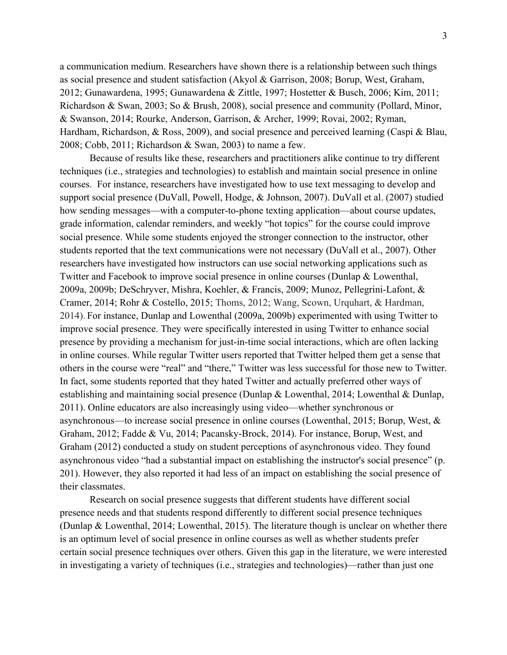a communication medium. Researchers have shown there is a relationship between such things as social presence and student satisfaction (Akyol & Garrison, 2008; Borup, West, Graham, 2012; Gunawardena, 1995; Gunawardena & Zittle, 1997; Hostetter & Busch, 2006; Kim, 2011; Richardson & Swan, 2003; So & Brush, 2008), social presence and community (Pollard, Minor, & Swanson, 2014; Rourke, Anderson, Garrison, & Archer, 1999; Rovai, 2002; Ryman, Hardham, Richardson, & Ross, 2009), and social presence and perceived learning (Caspi & Blau, 2008; Cobb, 2011; Richardson & Swan, 2003) to name a few.

Because of results like these, researchers and practitioners alike continue to try different techniques (i.e., strategies and technologies) to establish and maintain social presence in online courses. For instance, researchers have investigated how to use text messaging to develop and support social presence (DuVall, Powell, Hodge, & Johnson, 2007). DuVall et al. (2007) studied how sending messages—with a computer-to-phone texting application—about course updates, grade information, calendar reminders, and weekly "hot topics" for the course could improve social presence. While some students enjoyed the stronger connection to the instructor, other students reported that the text communications were not necessary (DuVall et al., 2007). Other researchers have investigated how instructors can use social networking applications such as Twitter and Facebook to improve social presence in online courses (Dunlap & Lowenthal, 2009a, 2009b; DeSchryver, Mishra, Koehler, & Francis, 2009; Munoz, Pellegrini-Lafont, & Cramer, 2014; Rohr & Costello, 2015; Thoms, 2012; Wang, Scown, Urquhart, & Hardman, 2014). For instance, Dunlap and Lowenthal (2009a, 2009b) experimented with using Twitter to improve social presence. They were specifically interested in using Twitter to enhance social presence by providing a mechanism for just-in-time social interactions, which are often lacking in online courses. While regular Twitter users reported that Twitter helped them get a sense that others in the course were "real" and "there," Twitter was less successful for those new to Twitter. In fact, some students reported that they hated Twitter and actually preferred other ways of establishing and maintaining social presence (Dunlap & Lowenthal, 2014; Lowenthal & Dunlap, 2011). Online educators are also increasingly using video—whether synchronous or asynchronous—to increase social presence in online courses (Lowenthal, 2015; Borup, West, & Graham, 2012; Fadde & Vu, 2014; Pacansky-Brock, 2014). For instance, Borup, West, and Graham (2012) conducted a study on student perceptions of asynchronous video. They found asynchronous video "had a substantial impact on establishing the instructor's social presence" (p. 201). However, they also reported it had less of an impact on establishing the social presence of their classmates.

Research on social presence suggests that different students have different social presence needs and that students respond differently to different social presence techniques (Dunlap & Lowenthal, 2014; Lowenthal, 2015). The literature though is unclear on whether there is an optimum level of social presence in online courses as well as whether students prefer certain social presence techniques over others. Given this gap in the literature, we were interested in investigating a variety of techniques (i.e., strategies and technologies)—rather than just one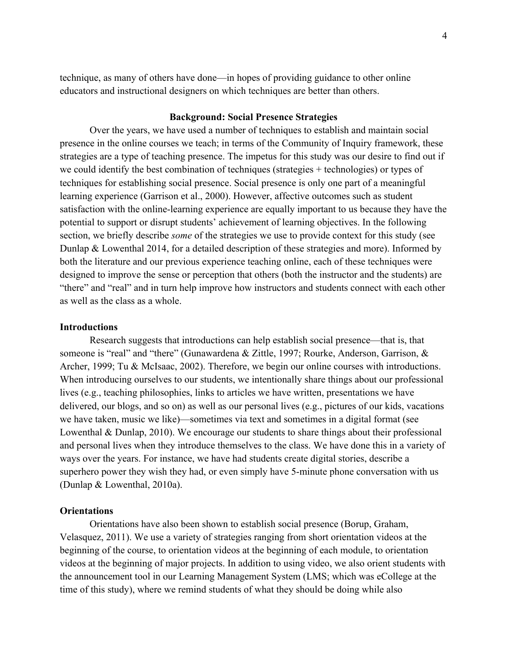technique, as many of others have done—in hopes of providing guidance to other online educators and instructional designers on which techniques are better than others.

#### **Background: Social Presence Strategies**

Over the years, we have used a number of techniques to establish and maintain social presence in the online courses we teach; in terms of the Community of Inquiry framework, these strategies are a type of teaching presence. The impetus for this study was our desire to find out if we could identify the best combination of techniques (strategies + technologies) or types of techniques for establishing social presence. Social presence is only one part of a meaningful learning experience (Garrison et al., 2000). However, affective outcomes such as student satisfaction with the online-learning experience are equally important to us because they have the potential to support or disrupt students' achievement of learning objectives. In the following section, we briefly describe *some* of the strategies we use to provide context for this study (see Dunlap & Lowenthal 2014, for a detailed description of these strategies and more). Informed by both the literature and our previous experience teaching online, each of these techniques were designed to improve the sense or perception that others (both the instructor and the students) are "there" and "real" and in turn help improve how instructors and students connect with each other as well as the class as a whole.

#### **Introductions**

Research suggests that introductions can help establish social presence—that is, that someone is "real" and "there" (Gunawardena & Zittle, 1997; Rourke, Anderson, Garrison, & Archer, 1999; Tu & McIsaac, 2002). Therefore, we begin our online courses with introductions. When introducing ourselves to our students, we intentionally share things about our professional lives (e.g., teaching philosophies, links to articles we have written, presentations we have delivered, our blogs, and so on) as well as our personal lives (e.g., pictures of our kids, vacations we have taken, music we like)—sometimes via text and sometimes in a digital format (see Lowenthal & Dunlap, 2010). We encourage our students to share things about their professional and personal lives when they introduce themselves to the class. We have done this in a variety of ways over the years. For instance, we have had students create digital stories, describe a superhero power they wish they had, or even simply have 5-minute phone conversation with us (Dunlap & Lowenthal, 2010a).

#### **Orientations**

Orientations have also been shown to establish social presence (Borup, Graham, Velasquez, 2011). We use a variety of strategies ranging from short orientation videos at the beginning of the course, to orientation videos at the beginning of each module, to orientation videos at the beginning of major projects. In addition to using video, we also orient students with the announcement tool in our Learning Management System (LMS; which was eCollege at the time of this study), where we remind students of what they should be doing while also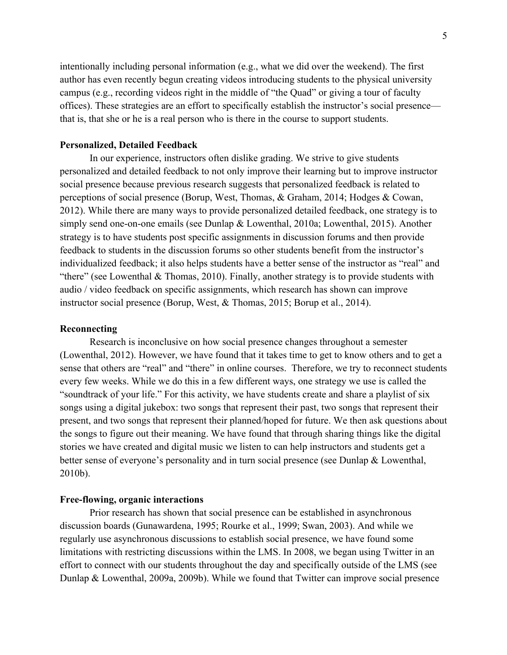intentionally including personal information (e.g., what we did over the weekend). The first author has even recently begun creating videos introducing students to the physical university campus (e.g., recording videos right in the middle of "the Quad" or giving a tour of faculty offices). These strategies are an effort to specifically establish the instructor's social presence that is, that she or he is a real person who is there in the course to support students.

### **Personalized, Detailed Feedback**

In our experience, instructors often dislike grading. We strive to give students personalized and detailed feedback to not only improve their learning but to improve instructor social presence because previous research suggests that personalized feedback is related to perceptions of social presence (Borup, West, Thomas, & Graham, 2014; Hodges & Cowan, 2012). While there are many ways to provide personalized detailed feedback, one strategy is to simply send one-on-one emails (see Dunlap & Lowenthal, 2010a; Lowenthal, 2015). Another strategy is to have students post specific assignments in discussion forums and then provide feedback to students in the discussion forums so other students benefit from the instructor's individualized feedback; it also helps students have a better sense of the instructor as "real" and "there" (see Lowenthal & Thomas, 2010). Finally, another strategy is to provide students with audio / video feedback on specific assignments, which research has shown can improve instructor social presence (Borup, West, & Thomas, 2015; Borup et al., 2014).

#### **Reconnecting**

Research is inconclusive on how social presence changes throughout a semester (Lowenthal, 2012). However, we have found that it takes time to get to know others and to get a sense that others are "real" and "there" in online courses. Therefore, we try to reconnect students every few weeks. While we do this in a few different ways, one strategy we use is called the "soundtrack of your life." For this activity, we have students create and share a playlist of six songs using a digital jukebox: two songs that represent their past, two songs that represent their present, and two songs that represent their planned/hoped for future. We then ask questions about the songs to figure out their meaning. We have found that through sharing things like the digital stories we have created and digital music we listen to can help instructors and students get a better sense of everyone's personality and in turn social presence (see Dunlap & Lowenthal, 2010b).

#### **Free-flowing, organic interactions**

Prior research has shown that social presence can be established in asynchronous discussion boards (Gunawardena, 1995; Rourke et al., 1999; Swan, 2003). And while we regularly use asynchronous discussions to establish social presence, we have found some limitations with restricting discussions within the LMS. In 2008, we began using Twitter in an effort to connect with our students throughout the day and specifically outside of the LMS (see Dunlap & Lowenthal, 2009a, 2009b). While we found that Twitter can improve social presence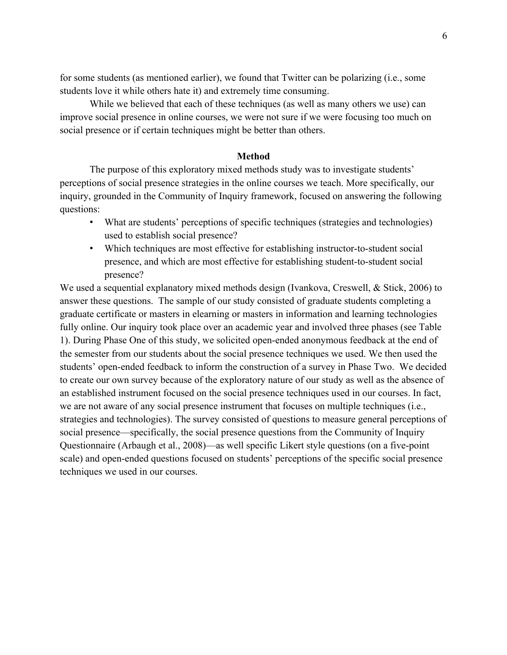for some students (as mentioned earlier), we found that Twitter can be polarizing (i.e., some students love it while others hate it) and extremely time consuming.

While we believed that each of these techniques (as well as many others we use) can improve social presence in online courses, we were not sure if we were focusing too much on social presence or if certain techniques might be better than others.

#### **Method**

The purpose of this exploratory mixed methods study was to investigate students' perceptions of social presence strategies in the online courses we teach. More specifically, our inquiry, grounded in the Community of Inquiry framework, focused on answering the following questions:

- What are students' perceptions of specific techniques (strategies and technologies) used to establish social presence?
- Which techniques are most effective for establishing instructor-to-student social presence, and which are most effective for establishing student-to-student social presence?

We used a sequential explanatory mixed methods design (Ivankova, Creswell, & Stick, 2006) to answer these questions. The sample of our study consisted of graduate students completing a graduate certificate or masters in elearning or masters in information and learning technologies fully online. Our inquiry took place over an academic year and involved three phases (see Table 1). During Phase One of this study, we solicited open-ended anonymous feedback at the end of the semester from our students about the social presence techniques we used. We then used the students' open-ended feedback to inform the construction of a survey in Phase Two. We decided to create our own survey because of the exploratory nature of our study as well as the absence of an established instrument focused on the social presence techniques used in our courses. In fact, we are not aware of any social presence instrument that focuses on multiple techniques (i.e., strategies and technologies). The survey consisted of questions to measure general perceptions of social presence—specifically, the social presence questions from the Community of Inquiry Questionnaire (Arbaugh et al., 2008)—as well specific Likert style questions (on a five-point scale) and open-ended questions focused on students' perceptions of the specific social presence techniques we used in our courses.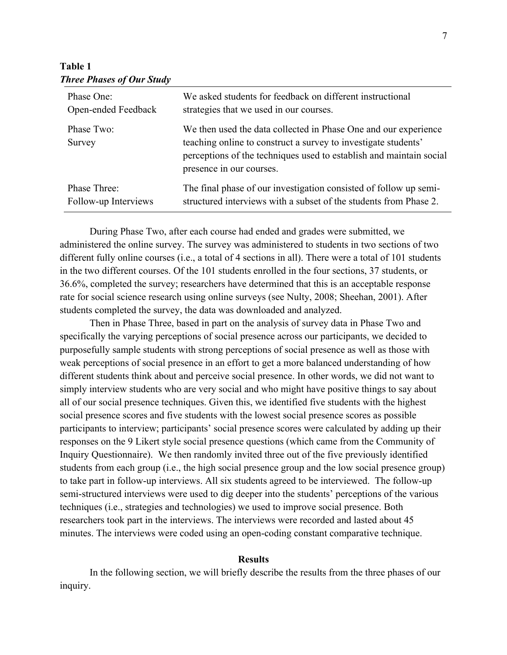| Phase One:           | We asked students for feedback on different instructional                                                                                                                                                                            |
|----------------------|--------------------------------------------------------------------------------------------------------------------------------------------------------------------------------------------------------------------------------------|
| Open-ended Feedback  | strategies that we used in our courses.                                                                                                                                                                                              |
| Phase Two:<br>Survey | We then used the data collected in Phase One and our experience<br>teaching online to construct a survey to investigate students'<br>perceptions of the techniques used to establish and maintain social<br>presence in our courses. |
| Phase Three:         | The final phase of our investigation consisted of follow up semi-                                                                                                                                                                    |
| Follow-up Interviews | structured interviews with a subset of the students from Phase 2.                                                                                                                                                                    |

**Table 1** *Three Phases of Our Study*

During Phase Two, after each course had ended and grades were submitted, we administered the online survey. The survey was administered to students in two sections of two different fully online courses (i.e., a total of 4 sections in all). There were a total of 101 students in the two different courses. Of the 101 students enrolled in the four sections, 37 students, or 36.6%, completed the survey; researchers have determined that this is an acceptable response rate for social science research using online surveys (see Nulty, 2008; Sheehan, 2001). After students completed the survey, the data was downloaded and analyzed.

Then in Phase Three, based in part on the analysis of survey data in Phase Two and specifically the varying perceptions of social presence across our participants, we decided to purposefully sample students with strong perceptions of social presence as well as those with weak perceptions of social presence in an effort to get a more balanced understanding of how different students think about and perceive social presence. In other words, we did not want to simply interview students who are very social and who might have positive things to say about all of our social presence techniques. Given this, we identified five students with the highest social presence scores and five students with the lowest social presence scores as possible participants to interview; participants' social presence scores were calculated by adding up their responses on the 9 Likert style social presence questions (which came from the Community of Inquiry Questionnaire). We then randomly invited three out of the five previously identified students from each group (i.e., the high social presence group and the low social presence group) to take part in follow-up interviews. All six students agreed to be interviewed. The follow-up semi-structured interviews were used to dig deeper into the students' perceptions of the various techniques (i.e., strategies and technologies) we used to improve social presence. Both researchers took part in the interviews. The interviews were recorded and lasted about 45 minutes. The interviews were coded using an open-coding constant comparative technique.

## **Results**

In the following section, we will briefly describe the results from the three phases of our inquiry.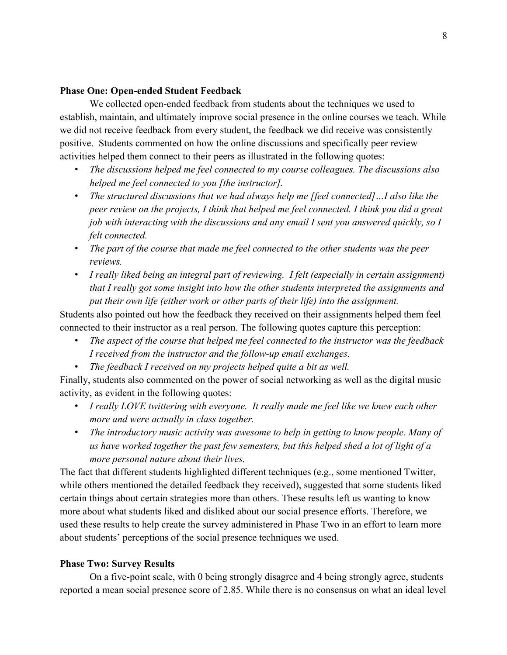## **Phase One: Open-ended Student Feedback**

We collected open-ended feedback from students about the techniques we used to establish, maintain, and ultimately improve social presence in the online courses we teach. While we did not receive feedback from every student, the feedback we did receive was consistently positive. Students commented on how the online discussions and specifically peer review activities helped them connect to their peers as illustrated in the following quotes:

- *The discussions helped me feel connected to my course colleagues. The discussions also helped me feel connected to you [the instructor].*
- *The structured discussions that we had always help me [feel connected]…I also like the peer review on the projects, I think that helped me feel connected. I think you did a great job with interacting with the discussions and any email I sent you answered quickly, so I felt connected.*
- *The part of the course that made me feel connected to the other students was the peer reviews.*
- *I really liked being an integral part of reviewing. I felt (especially in certain assignment) that I really got some insight into how the other students interpreted the assignments and put their own life (either work or other parts of their life) into the assignment.*

Students also pointed out how the feedback they received on their assignments helped them feel connected to their instructor as a real person. The following quotes capture this perception:

- *The aspect of the course that helped me feel connected to the instructor was the feedback I received from the instructor and the follow-up email exchanges.*
- *The feedback I received on my projects helped quite a bit as well.*

Finally, students also commented on the power of social networking as well as the digital music activity, as evident in the following quotes:

- *I really LOVE twittering with everyone. It really made me feel like we knew each other more and were actually in class together.*
- *The introductory music activity was awesome to help in getting to know people. Many of us have worked together the past few semesters, but this helped shed a lot of light of a more personal nature about their lives.*

The fact that different students highlighted different techniques (e.g., some mentioned Twitter, while others mentioned the detailed feedback they received), suggested that some students liked certain things about certain strategies more than others. These results left us wanting to know more about what students liked and disliked about our social presence efforts. Therefore, we used these results to help create the survey administered in Phase Two in an effort to learn more about students' perceptions of the social presence techniques we used.

#### **Phase Two: Survey Results**

On a five-point scale, with 0 being strongly disagree and 4 being strongly agree, students reported a mean social presence score of 2.85. While there is no consensus on what an ideal level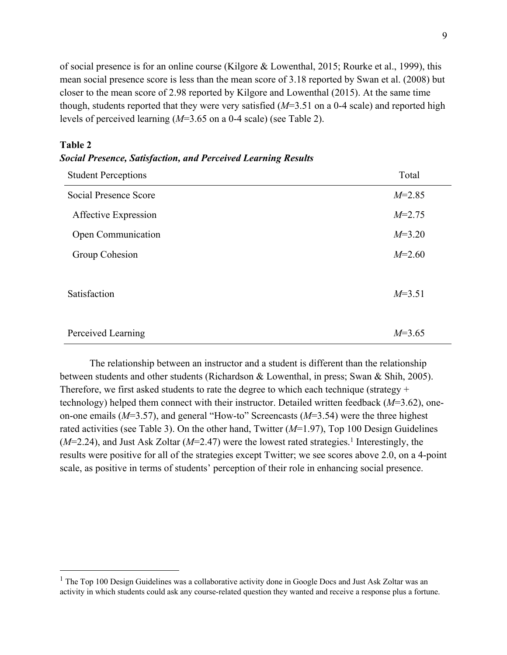of social presence is for an online course (Kilgore & Lowenthal, 2015; Rourke et al., 1999), this mean social presence score is less than the mean score of 3.18 reported by Swan et al. (2008) but closer to the mean score of 2.98 reported by Kilgore and Lowenthal (2015). At the same time though, students reported that they were very satisfied (*M*=3.51 on a 0-4 scale) and reported high levels of perceived learning (*M*=3.65 on a 0-4 scale) (see Table 2).

| benn 1 i eschiec, Sunsjuenon, unu 1 creeri eu Beurning Tiesmis |            |
|----------------------------------------------------------------|------------|
| <b>Student Perceptions</b>                                     | Total      |
| <b>Social Presence Score</b>                                   | $M = 2.85$ |
| Affective Expression                                           | $M = 2.75$ |
| Open Communication                                             | $M=3.20$   |
| Group Cohesion                                                 | $M = 2.60$ |
| Satisfaction                                                   | $M=3.51$   |
| Perceived Learning                                             | $M=3.65$   |

| Table 2                                                              |  |  |
|----------------------------------------------------------------------|--|--|
| <b>Social Presence, Satisfaction, and Perceived Learning Results</b> |  |  |

The relationship between an instructor and a student is different than the relationship between students and other students (Richardson & Lowenthal, in press; Swan & Shih, 2005). Therefore, we first asked students to rate the degree to which each technique (strategy + technology) helped them connect with their instructor. Detailed written feedback (*M*=3.62), oneon-one emails (*M*=3.57), and general "How-to" Screencasts (*M*=3.54) were the three highest rated activities (see Table 3). On the other hand, Twitter (*M*=1.97), Top 100 Design Guidelines  $(M=2.24)$ , and Just Ask Zoltar  $(M=2.47)$  were the lowest rated strategies.<sup>1</sup> Interestingly, the results were positive for all of the strategies except Twitter; we see scores above 2.0, on a 4-point scale, as positive in terms of students' perception of their role in enhancing social presence.

<sup>&</sup>lt;sup>1</sup> The Top 100 Design Guidelines was a collaborative activity done in Google Docs and Just Ask Zoltar was an activity in which students could ask any course-related question they wanted and receive a response plus a fortune.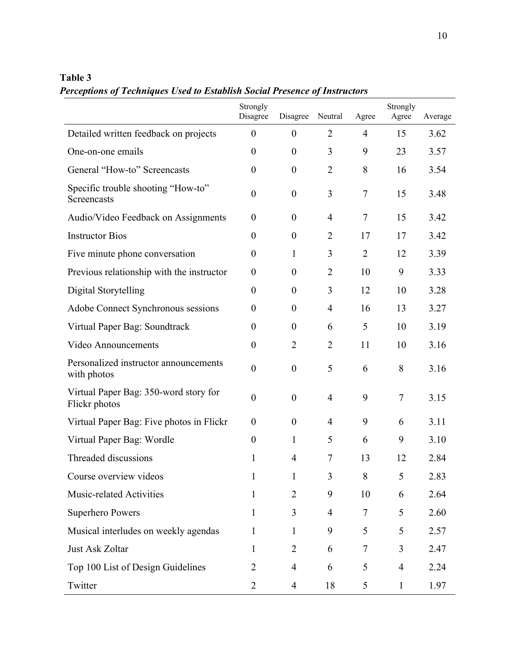# **Table 3**

*Perceptions of Techniques Used to Establish Social Presence of Instructors*

|                                                        | Strongly<br>Disagree | Disagree         | Neutral        | Agree          | Strongly<br>Agree | Average |
|--------------------------------------------------------|----------------------|------------------|----------------|----------------|-------------------|---------|
| Detailed written feedback on projects                  | $\boldsymbol{0}$     | $\boldsymbol{0}$ | $\overline{2}$ | $\overline{4}$ | 15                | 3.62    |
| One-on-one emails                                      | $\boldsymbol{0}$     | $\boldsymbol{0}$ | 3              | 9              | 23                | 3.57    |
| General "How-to" Screencasts                           | $\boldsymbol{0}$     | $\boldsymbol{0}$ | $\overline{2}$ | 8              | 16                | 3.54    |
| Specific trouble shooting "How-to"<br>Screencasts      | $\boldsymbol{0}$     | $\overline{0}$   | 3              | $\tau$         | 15                | 3.48    |
| Audio/Video Feedback on Assignments                    | $\boldsymbol{0}$     | $\boldsymbol{0}$ | $\overline{4}$ | $\overline{7}$ | 15                | 3.42    |
| <b>Instructor Bios</b>                                 | $\boldsymbol{0}$     | $\boldsymbol{0}$ | $\overline{2}$ | 17             | 17                | 3.42    |
| Five minute phone conversation                         | $\theta$             | 1                | 3              | $\overline{2}$ | 12                | 3.39    |
| Previous relationship with the instructor              | $\boldsymbol{0}$     | $\boldsymbol{0}$ | $\overline{2}$ | 10             | 9                 | 3.33    |
| Digital Storytelling                                   | $\boldsymbol{0}$     | $\boldsymbol{0}$ | 3              | 12             | 10                | 3.28    |
| Adobe Connect Synchronous sessions                     | $\boldsymbol{0}$     | $\boldsymbol{0}$ | $\overline{4}$ | 16             | 13                | 3.27    |
| Virtual Paper Bag: Soundtrack                          | $\boldsymbol{0}$     | $\boldsymbol{0}$ | 6              | 5              | 10                | 3.19    |
| <b>Video Announcements</b>                             | $\boldsymbol{0}$     | $\overline{2}$   | $\overline{2}$ | 11             | 10                | 3.16    |
| Personalized instructor announcements<br>with photos   | $\boldsymbol{0}$     | $\boldsymbol{0}$ | 5              | 6              | 8                 | 3.16    |
| Virtual Paper Bag: 350-word story for<br>Flickr photos | $\boldsymbol{0}$     | $\boldsymbol{0}$ | $\overline{4}$ | 9              | 7                 | 3.15    |
| Virtual Paper Bag: Five photos in Flickr               | $\boldsymbol{0}$     | $\boldsymbol{0}$ | $\overline{4}$ | 9              | 6                 | 3.11    |
| Virtual Paper Bag: Wordle                              | $\boldsymbol{0}$     | 1                | 5              | 6              | 9                 | 3.10    |
| Threaded discussions                                   | 1                    | 4                | 7              | 13             | 12                | 2.84    |
| Course overview videos                                 | $\mathbf{1}$         | 1                | 3              | 8              | 5                 | 2.83    |
| Music-related Activities                               | $\mathbf{1}$         | $\overline{2}$   | 9              | 10             | 6                 | 2.64    |
| <b>Superhero Powers</b>                                | $\mathbf{1}$         | 3                | 4              | 7              | 5                 | 2.60    |
| Musical interludes on weekly agendas                   | 1                    | 1                | 9              | 5              | 5                 | 2.57    |
| Just Ask Zoltar                                        | $\mathbf{1}$         | $\overline{2}$   | 6              | 7              | 3                 | 2.47    |
| Top 100 List of Design Guidelines                      | $\overline{2}$       | 4                | 6              | 5              | $\overline{4}$    | 2.24    |
| Twitter                                                | $\overline{2}$       | $\overline{4}$   | 18             | 5              | $\mathbf{1}$      | 1.97    |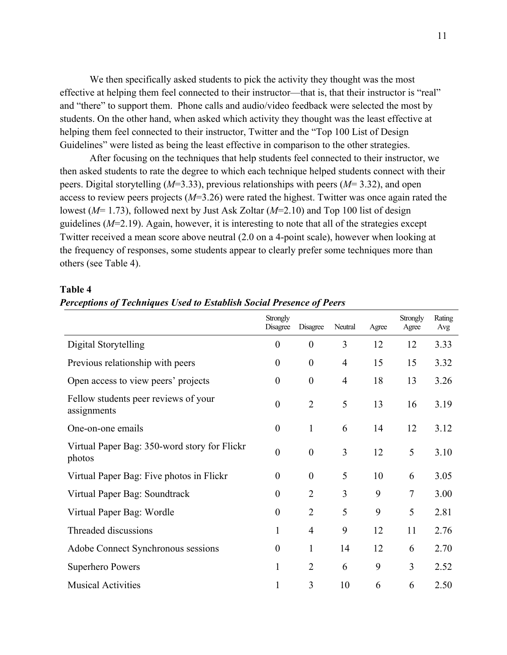We then specifically asked students to pick the activity they thought was the most effective at helping them feel connected to their instructor—that is, that their instructor is "real" and "there" to support them. Phone calls and audio/video feedback were selected the most by students. On the other hand, when asked which activity they thought was the least effective at helping them feel connected to their instructor, Twitter and the "Top 100 List of Design Guidelines" were listed as being the least effective in comparison to the other strategies.

After focusing on the techniques that help students feel connected to their instructor, we then asked students to rate the degree to which each technique helped students connect with their peers. Digital storytelling (*M*=3.33), previous relationships with peers (*M*= 3.32), and open access to review peers projects (*M*=3.26) were rated the highest. Twitter was once again rated the lowest (*M*= 1.73), followed next by Just Ask Zoltar (*M*=2.10) and Top 100 list of design guidelines (*M*=2.19). Again, however, it is interesting to note that all of the strategies except Twitter received a mean score above neutral (2.0 on a 4-point scale), however when looking at the frequency of responses, some students appear to clearly prefer some techniques more than others (see Table 4).

|                                                        | Strongly<br><b>Disagree</b> | Disagree         | Neutral        | Agree | Strongly<br>Agree | Rating<br>Avg |
|--------------------------------------------------------|-----------------------------|------------------|----------------|-------|-------------------|---------------|
| Digital Storytelling                                   | $\overline{0}$              | $\overline{0}$   | 3              | 12    | 12                | 3.33          |
| Previous relationship with peers                       | $\boldsymbol{0}$            | $\boldsymbol{0}$ | $\overline{4}$ | 15    | 15                | 3.32          |
| Open access to view peers' projects                    | $\overline{0}$              | $\overline{0}$   | $\overline{4}$ | 18    | 13                | 3.26          |
| Fellow students peer reviews of your<br>assignments    | $\theta$                    | $\overline{2}$   | 5              | 13    | 16                | 3.19          |
| One-on-one emails                                      | $\boldsymbol{0}$            | $\mathbf{1}$     | 6              | 14    | 12                | 3.12          |
| Virtual Paper Bag: 350-word story for Flickr<br>photos | $\overline{0}$              | $\boldsymbol{0}$ | 3              | 12    | 5                 | 3.10          |
| Virtual Paper Bag: Five photos in Flickr               | $\boldsymbol{0}$            | $\boldsymbol{0}$ | 5              | 10    | 6                 | 3.05          |
| Virtual Paper Bag: Soundtrack                          | $\theta$                    | $\overline{2}$   | 3              | 9     | $\overline{7}$    | 3.00          |
| Virtual Paper Bag: Wordle                              | $\theta$                    | $\overline{2}$   | 5              | 9     | 5                 | 2.81          |
| Threaded discussions                                   | 1                           | $\overline{4}$   | 9              | 12    | 11                | 2.76          |
| Adobe Connect Synchronous sessions                     | $\boldsymbol{0}$            | $\mathbf{1}$     | 14             | 12    | 6                 | 2.70          |
| <b>Superhero Powers</b>                                | 1                           | $\overline{2}$   | 6              | 9     | 3                 | 2.52          |
| <b>Musical Activities</b>                              |                             | 3                | 10             | 6     | 6                 | 2.50          |

# **Table 4**  *Perceptions of Techniques Used to Establish Social Presence of Peers*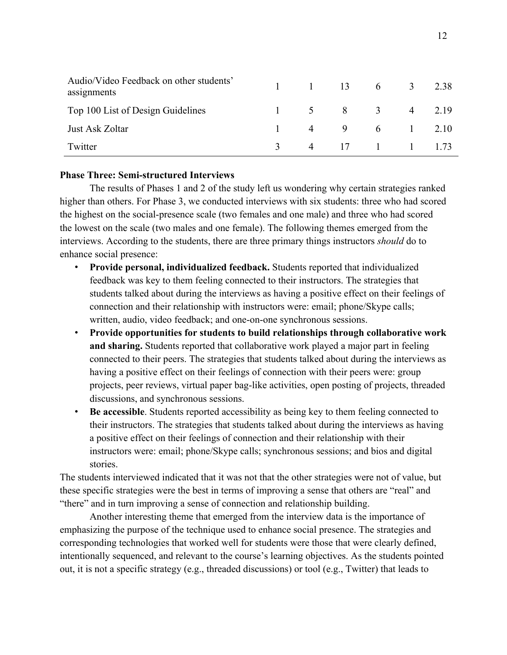| Audio/Video Feedback on other students'<br>assignments |  | $1 \t 1 \t 13 \t 6 \t 3 \t 2.38$ |  |  |
|--------------------------------------------------------|--|----------------------------------|--|--|
| Top 100 List of Design Guidelines                      |  | $1 \t 5 \t 8 \t 3 \t 4 \t 2.19$  |  |  |
| Just Ask Zoltar                                        |  | $1 \t 4 \t 9 \t 6 \t 1 \t 2.10$  |  |  |
| Twitter                                                |  | 3 4 17 1 1 1.73                  |  |  |

## **Phase Three: Semi-structured Interviews**

The results of Phases 1 and 2 of the study left us wondering why certain strategies ranked higher than others. For Phase 3, we conducted interviews with six students: three who had scored the highest on the social-presence scale (two females and one male) and three who had scored the lowest on the scale (two males and one female). The following themes emerged from the interviews. According to the students, there are three primary things instructors *should* do to enhance social presence:

- **Provide personal, individualized feedback.** Students reported that individualized feedback was key to them feeling connected to their instructors. The strategies that students talked about during the interviews as having a positive effect on their feelings of connection and their relationship with instructors were: email; phone/Skype calls; written, audio, video feedback; and one-on-one synchronous sessions.
- **Provide opportunities for students to build relationships through collaborative work and sharing.** Students reported that collaborative work played a major part in feeling connected to their peers. The strategies that students talked about during the interviews as having a positive effect on their feelings of connection with their peers were: group projects, peer reviews, virtual paper bag-like activities, open posting of projects, threaded discussions, and synchronous sessions.
- **Be accessible**. Students reported accessibility as being key to them feeling connected to their instructors. The strategies that students talked about during the interviews as having a positive effect on their feelings of connection and their relationship with their instructors were: email; phone/Skype calls; synchronous sessions; and bios and digital stories.

The students interviewed indicated that it was not that the other strategies were not of value, but these specific strategies were the best in terms of improving a sense that others are "real" and "there" and in turn improving a sense of connection and relationship building.

Another interesting theme that emerged from the interview data is the importance of emphasizing the purpose of the technique used to enhance social presence. The strategies and corresponding technologies that worked well for students were those that were clearly defined, intentionally sequenced, and relevant to the course's learning objectives. As the students pointed out, it is not a specific strategy (e.g., threaded discussions) or tool (e.g., Twitter) that leads to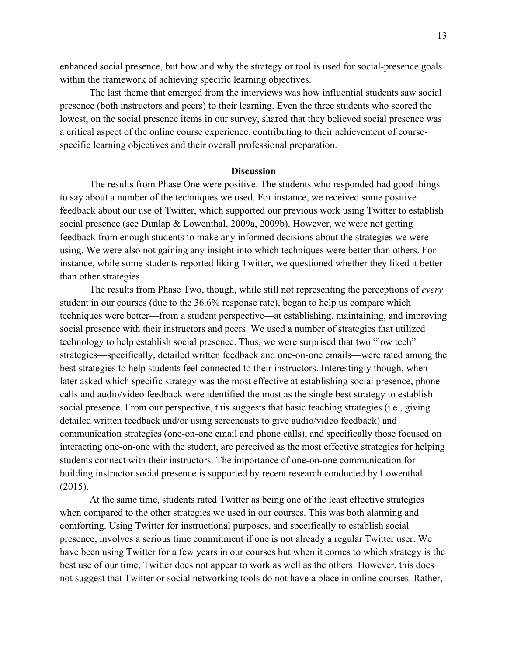enhanced social presence, but how and why the strategy or tool is used for social-presence goals within the framework of achieving specific learning objectives.

The last theme that emerged from the interviews was how influential students saw social presence (both instructors and peers) to their learning. Even the three students who scored the lowest, on the social presence items in our survey, shared that they believed social presence was a critical aspect of the online course experience, contributing to their achievement of coursespecific learning objectives and their overall professional preparation.

#### **Discussion**

The results from Phase One were positive. The students who responded had good things to say about a number of the techniques we used. For instance, we received some positive feedback about our use of Twitter, which supported our previous work using Twitter to establish social presence (see Dunlap & Lowenthal, 2009a, 2009b). However, we were not getting feedback from enough students to make any informed decisions about the strategies we were using. We were also not gaining any insight into which techniques were better than others. For instance, while some students reported liking Twitter, we questioned whether they liked it better than other strategies.

The results from Phase Two, though, while still not representing the perceptions of *every* student in our courses (due to the 36.6% response rate), began to help us compare which techniques were better—from a student perspective—at establishing, maintaining, and improving social presence with their instructors and peers. We used a number of strategies that utilized technology to help establish social presence. Thus, we were surprised that two "low tech" strategies—specifically, detailed written feedback and one-on-one emails—were rated among the best strategies to help students feel connected to their instructors. Interestingly though, when later asked which specific strategy was the most effective at establishing social presence, phone calls and audio/video feedback were identified the most as the single best strategy to establish social presence. From our perspective, this suggests that basic teaching strategies (i.e., giving detailed written feedback and/or using screencasts to give audio/video feedback) and communication strategies (one-on-one email and phone calls), and specifically those focused on interacting one-on-one with the student, are perceived as the most effective strategies for helping students connect with their instructors. The importance of one-on-one communication for building instructor social presence is supported by recent research conducted by Lowenthal (2015).

At the same time, students rated Twitter as being one of the least effective strategies when compared to the other strategies we used in our courses. This was both alarming and comforting. Using Twitter for instructional purposes, and specifically to establish social presence, involves a serious time commitment if one is not already a regular Twitter user. We have been using Twitter for a few years in our courses but when it comes to which strategy is the best use of our time, Twitter does not appear to work as well as the others. However, this does not suggest that Twitter or social networking tools do not have a place in online courses. Rather,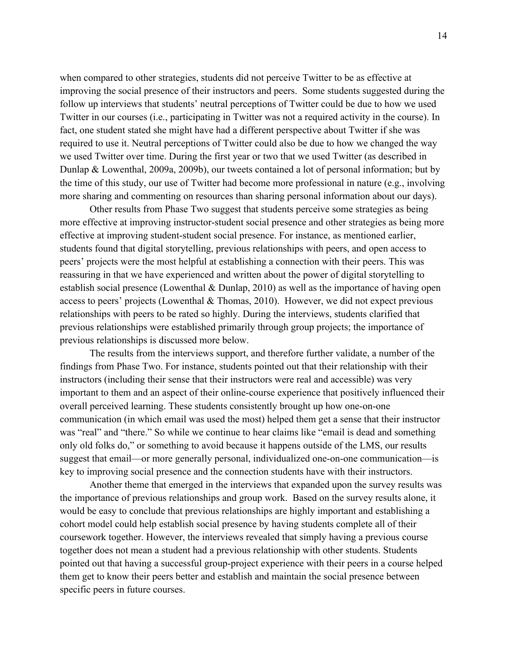when compared to other strategies, students did not perceive Twitter to be as effective at improving the social presence of their instructors and peers. Some students suggested during the follow up interviews that students' neutral perceptions of Twitter could be due to how we used Twitter in our courses (i.e., participating in Twitter was not a required activity in the course). In fact, one student stated she might have had a different perspective about Twitter if she was required to use it. Neutral perceptions of Twitter could also be due to how we changed the way we used Twitter over time. During the first year or two that we used Twitter (as described in Dunlap & Lowenthal, 2009a, 2009b), our tweets contained a lot of personal information; but by the time of this study, our use of Twitter had become more professional in nature (e.g., involving more sharing and commenting on resources than sharing personal information about our days).

Other results from Phase Two suggest that students perceive some strategies as being more effective at improving instructor-student social presence and other strategies as being more effective at improving student-student social presence. For instance, as mentioned earlier, students found that digital storytelling, previous relationships with peers, and open access to peers' projects were the most helpful at establishing a connection with their peers. This was reassuring in that we have experienced and written about the power of digital storytelling to establish social presence (Lowenthal & Dunlap, 2010) as well as the importance of having open access to peers' projects (Lowenthal & Thomas, 2010). However, we did not expect previous relationships with peers to be rated so highly. During the interviews, students clarified that previous relationships were established primarily through group projects; the importance of previous relationships is discussed more below.

The results from the interviews support, and therefore further validate, a number of the findings from Phase Two. For instance, students pointed out that their relationship with their instructors (including their sense that their instructors were real and accessible) was very important to them and an aspect of their online-course experience that positively influenced their overall perceived learning. These students consistently brought up how one-on-one communication (in which email was used the most) helped them get a sense that their instructor was "real" and "there." So while we continue to hear claims like "email is dead and something only old folks do," or something to avoid because it happens outside of the LMS, our results suggest that email—or more generally personal, individualized one-on-one communication—is key to improving social presence and the connection students have with their instructors.

Another theme that emerged in the interviews that expanded upon the survey results was the importance of previous relationships and group work. Based on the survey results alone, it would be easy to conclude that previous relationships are highly important and establishing a cohort model could help establish social presence by having students complete all of their coursework together. However, the interviews revealed that simply having a previous course together does not mean a student had a previous relationship with other students. Students pointed out that having a successful group-project experience with their peers in a course helped them get to know their peers better and establish and maintain the social presence between specific peers in future courses.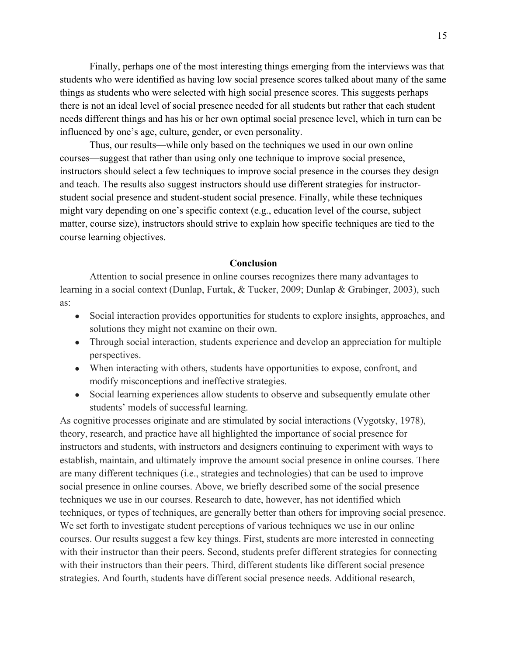Finally, perhaps one of the most interesting things emerging from the interviews was that students who were identified as having low social presence scores talked about many of the same things as students who were selected with high social presence scores. This suggests perhaps there is not an ideal level of social presence needed for all students but rather that each student needs different things and has his or her own optimal social presence level, which in turn can be influenced by one's age, culture, gender, or even personality.

Thus, our results—while only based on the techniques we used in our own online courses—suggest that rather than using only one technique to improve social presence, instructors should select a few techniques to improve social presence in the courses they design and teach. The results also suggest instructors should use different strategies for instructorstudent social presence and student-student social presence. Finally, while these techniques might vary depending on one's specific context (e.g., education level of the course, subject matter, course size), instructors should strive to explain how specific techniques are tied to the course learning objectives.

#### **Conclusion**

Attention to social presence in online courses recognizes there many advantages to learning in a social context (Dunlap, Furtak, & Tucker, 2009; Dunlap & Grabinger, 2003), such as:

- Social interaction provides opportunities for students to explore insights, approaches, and solutions they might not examine on their own.
- Through social interaction, students experience and develop an appreciation for multiple perspectives.
- When interacting with others, students have opportunities to expose, confront, and modify misconceptions and ineffective strategies.
- Social learning experiences allow students to observe and subsequently emulate other students' models of successful learning.

As cognitive processes originate and are stimulated by social interactions (Vygotsky, 1978), theory, research, and practice have all highlighted the importance of social presence for instructors and students, with instructors and designers continuing to experiment with ways to establish, maintain, and ultimately improve the amount social presence in online courses. There are many different techniques (i.e., strategies and technologies) that can be used to improve social presence in online courses. Above, we briefly described some of the social presence techniques we use in our courses. Research to date, however, has not identified which techniques, or types of techniques, are generally better than others for improving social presence. We set forth to investigate student perceptions of various techniques we use in our online courses. Our results suggest a few key things. First, students are more interested in connecting with their instructor than their peers. Second, students prefer different strategies for connecting with their instructors than their peers. Third, different students like different social presence strategies. And fourth, students have different social presence needs. Additional research,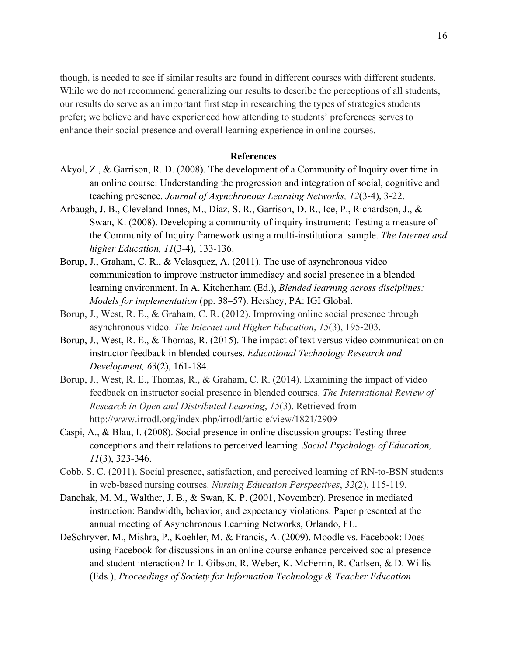though, is needed to see if similar results are found in different courses with different students. While we do not recommend generalizing our results to describe the perceptions of all students, our results do serve as an important first step in researching the types of strategies students prefer; we believe and have experienced how attending to students' preferences serves to enhance their social presence and overall learning experience in online courses.

#### **References**

- Akyol, Z., & Garrison, R. D. (2008). The development of a Community of Inquiry over time in an online course: Understanding the progression and integration of social, cognitive and teaching presence. *Journal of Asynchronous Learning Networks, 12*(3-4), 3-22.
- Arbaugh, J. B., Cleveland-Innes, M., Diaz, S. R., Garrison, D. R., Ice, P., Richardson, J., & Swan, K. (2008). Developing a community of inquiry instrument: Testing a measure of the Community of Inquiry framework using a multi-institutional sample. *The Internet and higher Education, 11*(3-4), 133-136.
- Borup, J., Graham, C. R., & Velasquez, A. (2011). The use of asynchronous video communication to improve instructor immediacy and social presence in a blended learning environment. In A. Kitchenham (Ed.), *Blended learning across disciplines: Models for implementation* (pp. 38–57). Hershey, PA: IGI Global.
- Borup, J., West, R. E., & Graham, C. R. (2012). Improving online social presence through asynchronous video. *The Internet and Higher Education*, *15*(3), 195-203.
- Borup, J., West, R. E., & Thomas, R. (2015). The impact of text versus video communication on instructor feedback in blended courses. *Educational Technology Research and Development, 63*(2), 161-184.
- Borup, J., West, R. E., Thomas, R., & Graham, C. R. (2014). Examining the impact of video feedback on instructor social presence in blended courses. *The International Review of Research in Open and Distributed Learning*, *15*(3). Retrieved from http://www.irrodl.org/index.php/irrodl/article/view/1821/2909
- Caspi, A., & Blau, I. (2008). Social presence in online discussion groups: Testing three conceptions and their relations to perceived learning. *Social Psychology of Education, 11*(3), 323-346.
- Cobb, S. C. (2011). Social presence, satisfaction, and perceived learning of RN-to-BSN students in web-based nursing courses. *Nursing Education Perspectives*, *32*(2), 115-119.
- Danchak, M. M., Walther, J. B., & Swan, K. P. (2001, November). Presence in mediated instruction: Bandwidth, behavior, and expectancy violations. Paper presented at the annual meeting of Asynchronous Learning Networks, Orlando, FL.
- DeSchryver, M., Mishra, P., Koehler, M. & Francis, A. (2009). Moodle vs. Facebook: Does using Facebook for discussions in an online course enhance perceived social presence and student interaction? In I. Gibson, R. Weber, K. McFerrin, R. Carlsen, & D. Willis (Eds.), *Proceedings of Society for Information Technology & Teacher Education*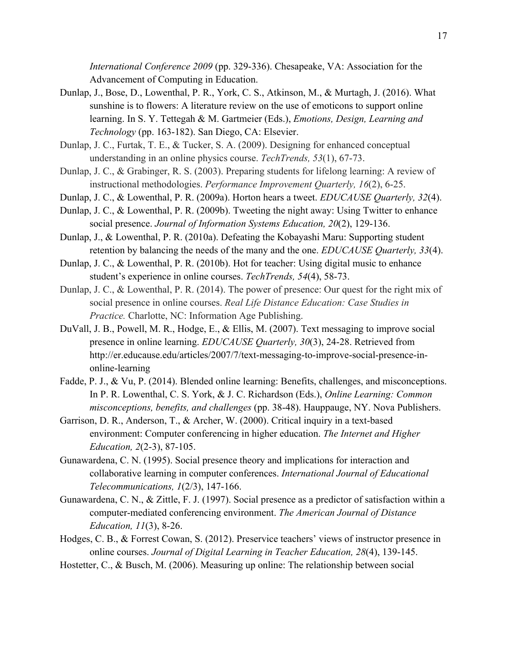*International Conference 2009* (pp. 329-336). Chesapeake, VA: Association for the Advancement of Computing in Education.

- Dunlap, J., Bose, D., Lowenthal, P. R., York, C. S., Atkinson, M., & Murtagh, J. (2016). What sunshine is to flowers: A literature review on the use of emoticons to support online learning. In S. Y. Tettegah & M. Gartmeier (Eds.), *Emotions, Design, Learning and Technology* (pp. 163-182). San Diego, CA: Elsevier.
- Dunlap, J. C., Furtak, T. E., & Tucker, S. A. (2009). Designing for enhanced conceptual understanding in an online physics course. *TechTrends, 53*(1), 67-73.
- Dunlap, J. C., & Grabinger, R. S. (2003). Preparing students for lifelong learning: A review of instructional methodologies. *Performance Improvement Quarterly, 16*(2), 6-25.
- Dunlap, J. C., & Lowenthal, P. R. (2009a). Horton hears a tweet. *EDUCAUSE Quarterly, 32*(4).
- Dunlap, J. C., & Lowenthal, P. R. (2009b). Tweeting the night away: Using Twitter to enhance social presence. *Journal of Information Systems Education, 20*(2), 129-136.
- Dunlap, J., & Lowenthal, P. R. (2010a). Defeating the Kobayashi Maru: Supporting student retention by balancing the needs of the many and the one. *EDUCAUSE Quarterly, 33*(4).
- Dunlap, J. C., & Lowenthal, P. R. (2010b). Hot for teacher: Using digital music to enhance student's experience in online courses. *TechTrends, 54*(4), 58-73.
- Dunlap, J. C., & Lowenthal, P. R. (2014). The power of presence: Our quest for the right mix of social presence in online courses. *Real Life Distance Education: Case Studies in Practice.* Charlotte, NC: Information Age Publishing.
- DuVall, J. B., Powell, M. R., Hodge, E., & Ellis, M. (2007). Text messaging to improve social presence in online learning. *EDUCAUSE Quarterly, 30*(3), 24-28. Retrieved from http://er.educause.edu/articles/2007/7/text-messaging-to-improve-social-presence-inonline-learning
- Fadde, P. J., & Vu, P. (2014). Blended online learning: Benefits, challenges, and misconceptions. In P. R. Lowenthal, C. S. York, & J. C. Richardson (Eds.), *Online Learning: Common misconceptions, benefits, and challenges* (pp. 38-48). Hauppauge, NY. Nova Publishers.
- Garrison, D. R., Anderson, T., & Archer, W. (2000). Critical inquiry in a text-based environment: Computer conferencing in higher education. *The Internet and Higher Education, 2*(2-3), 87-105.
- Gunawardena, C. N. (1995). Social presence theory and implications for interaction and collaborative learning in computer conferences. *International Journal of Educational Telecommunications, 1*(2/3), 147-166.
- Gunawardena, C. N., & Zittle, F. J. (1997). Social presence as a predictor of satisfaction within a computer-mediated conferencing environment. *The American Journal of Distance Education, 11*(3), 8-26.
- Hodges, C. B., & Forrest Cowan, S. (2012). Preservice teachers' views of instructor presence in online courses. *Journal of Digital Learning in Teacher Education, 28*(4), 139-145.
- Hostetter, C., & Busch, M. (2006). Measuring up online: The relationship between social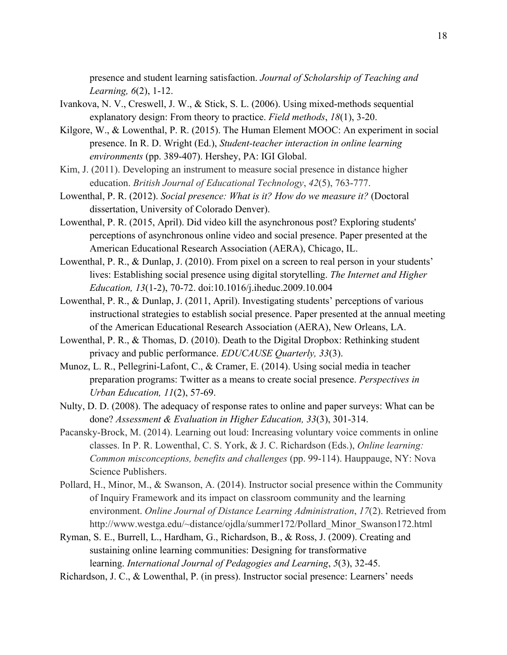presence and student learning satisfaction. *Journal of Scholarship of Teaching and Learning, 6*(2), 1-12.

- Ivankova, N. V., Creswell, J. W., & Stick, S. L. (2006). Using mixed-methods sequential explanatory design: From theory to practice. *Field methods*, *18*(1), 3-20.
- Kilgore, W., & Lowenthal, P. R. (2015). The Human Element MOOC: An experiment in social presence. In R. D. Wright (Ed.), *Student-teacher interaction in online learning environments* (pp. 389-407). Hershey, PA: IGI Global.
- Kim, J. (2011). Developing an instrument to measure social presence in distance higher education. *British Journal of Educational Technology*, *42*(5), 763-777.
- Lowenthal, P. R. (2012). *Social presence: What is it? How do we measure it?* (Doctoral dissertation, University of Colorado Denver).
- Lowenthal, P. R. (2015, April). Did video kill the asynchronous post? Exploring students' perceptions of asynchronous online video and social presence. Paper presented at the American Educational Research Association (AERA), Chicago, IL.
- Lowenthal, P. R., & Dunlap, J. (2010). From pixel on a screen to real person in your students' lives: Establishing social presence using digital storytelling. *The Internet and Higher Education, 13*(1-2), 70-72. doi:10.1016/j.iheduc.2009.10.004
- Lowenthal, P. R., & Dunlap, J. (2011, April). Investigating students' perceptions of various instructional strategies to establish social presence. Paper presented at the annual meeting of the American Educational Research Association (AERA), New Orleans, LA.
- Lowenthal, P. R., & Thomas, D. (2010). Death to the Digital Dropbox: Rethinking student privacy and public performance. *EDUCAUSE Quarterly, 33*(3).
- Munoz, L. R., Pellegrini-Lafont, C., & Cramer, E. (2014). Using social media in teacher preparation programs: Twitter as a means to create social presence. *Perspectives in Urban Education, 11*(2), 57-69.
- Nulty, D. D. (2008). The adequacy of response rates to online and paper surveys: What can be done? *Assessment & Evaluation in Higher Education, 33*(3), 301-314.
- Pacansky-Brock, M. (2014). Learning out loud: Increasing voluntary voice comments in online classes. In P. R. Lowenthal, C. S. York, & J. C. Richardson (Eds.), *Online learning: Common misconceptions, benefits and challenges* (pp. 99-114). Hauppauge, NY: Nova Science Publishers.
- Pollard, H., Minor, M., & Swanson, A. (2014). Instructor social presence within the Community of Inquiry Framework and its impact on classroom community and the learning environment. *Online Journal of Distance Learning Administration*, *17*(2). Retrieved from http://www.westga.edu/~distance/ojdla/summer172/Pollard\_Minor\_Swanson172.html
- Ryman, S. E., Burrell, L., Hardham, G., Richardson, B., & Ross, J. (2009). Creating and sustaining online learning communities: Designing for transformative learning. *International Journal of Pedagogies and Learning*, *5*(3), 32-45.
- Richardson, J. C., & Lowenthal, P. (in press). Instructor social presence: Learners' needs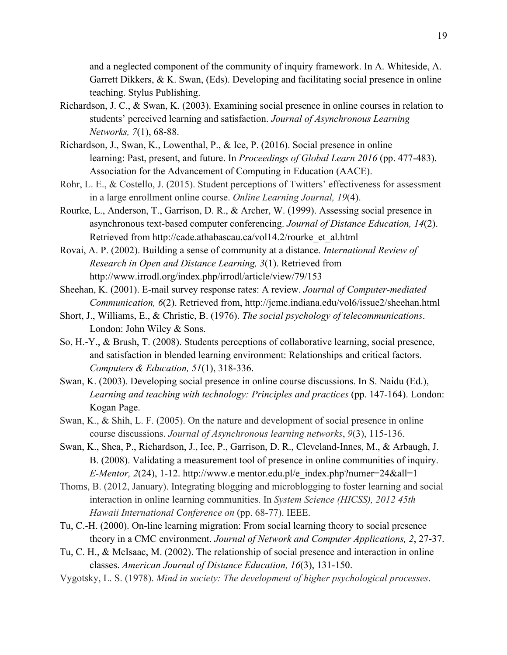and a neglected component of the community of inquiry framework. In A. Whiteside, A. Garrett Dikkers, & K. Swan, (Eds). Developing and facilitating social presence in online teaching. Stylus Publishing.

- Richardson, J. C., & Swan, K. (2003). Examining social presence in online courses in relation to students' perceived learning and satisfaction. *Journal of Asynchronous Learning Networks, 7*(1), 68-88.
- Richardson, J., Swan, K., Lowenthal, P., & Ice, P. (2016). Social presence in online learning: Past, present, and future. In *Proceedings of Global Learn 2016* (pp. 477-483). Association for the Advancement of Computing in Education (AACE).
- Rohr, L. E., & Costello, J. (2015). Student perceptions of Twitters' effectiveness for assessment in a large enrollment online course. *Online Learning Journal, 19*(4).
- Rourke, L., Anderson, T., Garrison, D. R., & Archer, W. (1999). Assessing social presence in asynchronous text-based computer conferencing. *Journal of Distance Education, 14*(2). Retrieved from http://cade.athabascau.ca/vol14.2/rourke\_et\_al.html
- Rovai, A. P. (2002). Building a sense of community at a distance. *International Review of Research in Open and Distance Learning, 3*(1). Retrieved from http://www.irrodl.org/index.php/irrodl/article/view/79/153
- Sheehan, K. (2001). E-mail survey response rates: A review. *Journal of Computer-mediated Communication, 6*(2). Retrieved from, http://jcmc.indiana.edu/vol6/issue2/sheehan.html
- Short, J., Williams, E., & Christie, B. (1976). *The social psychology of telecommunications*. London: John Wiley & Sons.
- So, H.-Y., & Brush, T. (2008). Students perceptions of collaborative learning, social presence, and satisfaction in blended learning environment: Relationships and critical factors. *Computers & Education, 51*(1), 318-336.
- Swan, K. (2003). Developing social presence in online course discussions. In S. Naidu (Ed.), *Learning and teaching with technology: Principles and practices* (pp. 147-164). London: Kogan Page.
- Swan, K., & Shih, L. F. (2005). On the nature and development of social presence in online course discussions. *Journal of Asynchronous learning networks*, *9*(3), 115-136.
- Swan, K., Shea, P., Richardson, J., Ice, P., Garrison, D. R., Cleveland-Innes, M., & Arbaugh, J. B. (2008). Validating a measurement tool of presence in online communities of inquiry. *E-Mentor, 2*(24), 1-12. http://www.e mentor.edu.pl/e\_index.php?numer=24&all=1
- Thoms, B. (2012, January). Integrating blogging and microblogging to foster learning and social interaction in online learning communities. In *System Science (HICSS), 2012 45th Hawaii International Conference on* (pp. 68-77). IEEE.
- Tu, C.-H. (2000). On-line learning migration: From social learning theory to social presence theory in a CMC environment. *Journal of Network and Computer Applications, 2*, 27-37.
- Tu, C. H., & McIsaac, M. (2002). The relationship of social presence and interaction in online classes. *American Journal of Distance Education, 16*(3), 131-150.
- Vygotsky, L. S. (1978). *Mind in society: The development of higher psychological processes*.